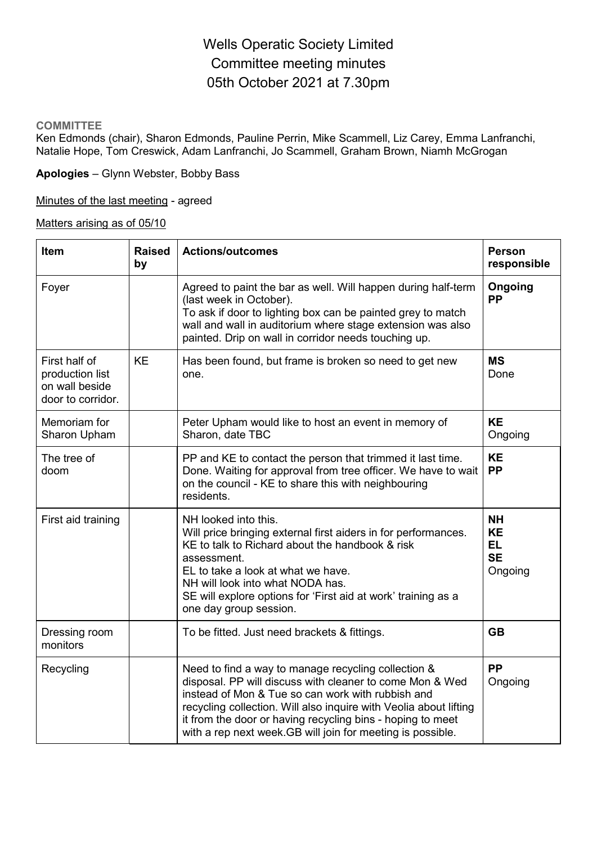# Wells Operatic Society Limited Committee meeting minutes 05th October 2021 at 7.30pm

#### **COMMITTEE**

Ken Edmonds (chair), Sharon Edmonds, Pauline Perrin, Mike Scammell, Liz Carey, Emma Lanfranchi, Natalie Hope, Tom Creswick, Adam Lanfranchi, Jo Scammell, Graham Brown, Niamh McGrogan

**Apologies** – Glynn Webster, Bobby Bass

Minutes of the last meeting - agreed

Matters arising as of 05/10

| Item                                                                    | <b>Raised</b><br>by | <b>Actions/outcomes</b>                                                                                                                                                                                                                                                                                                                                               | Person<br>responsible                                       |
|-------------------------------------------------------------------------|---------------------|-----------------------------------------------------------------------------------------------------------------------------------------------------------------------------------------------------------------------------------------------------------------------------------------------------------------------------------------------------------------------|-------------------------------------------------------------|
| Foyer                                                                   |                     | Agreed to paint the bar as well. Will happen during half-term<br>(last week in October).<br>To ask if door to lighting box can be painted grey to match<br>wall and wall in auditorium where stage extension was also<br>painted. Drip on wall in corridor needs touching up.                                                                                         | Ongoing<br><b>PP</b>                                        |
| First half of<br>production list<br>on wall beside<br>door to corridor. | <b>KE</b>           | Has been found, but frame is broken so need to get new<br>one.                                                                                                                                                                                                                                                                                                        | <b>MS</b><br>Done                                           |
| Memoriam for<br>Sharon Upham                                            |                     | Peter Upham would like to host an event in memory of<br>Sharon, date TBC                                                                                                                                                                                                                                                                                              | <b>KE</b><br>Ongoing                                        |
| The tree of<br>doom                                                     |                     | PP and KE to contact the person that trimmed it last time.<br>Done. Waiting for approval from tree officer. We have to wait<br>on the council - KE to share this with neighbouring<br>residents.                                                                                                                                                                      | <b>KE</b><br><b>PP</b>                                      |
| First aid training                                                      |                     | NH looked into this.<br>Will price bringing external first aiders in for performances.<br>KE to talk to Richard about the handbook & risk<br>assessment.<br>EL to take a look at what we have.<br>NH will look into what NODA has.<br>SE will explore options for 'First aid at work' training as a<br>one day group session.                                         | <b>NH</b><br><b>KE</b><br><b>EL</b><br><b>SE</b><br>Ongoing |
| Dressing room<br>monitors                                               |                     | To be fitted. Just need brackets & fittings.                                                                                                                                                                                                                                                                                                                          | <b>GB</b>                                                   |
| Recycling                                                               |                     | Need to find a way to manage recycling collection &<br>disposal. PP will discuss with cleaner to come Mon & Wed<br>instead of Mon & Tue so can work with rubbish and<br>recycling collection. Will also inquire with Veolia about lifting<br>it from the door or having recycling bins - hoping to meet<br>with a rep next week.GB will join for meeting is possible. | <b>PP</b><br>Ongoing                                        |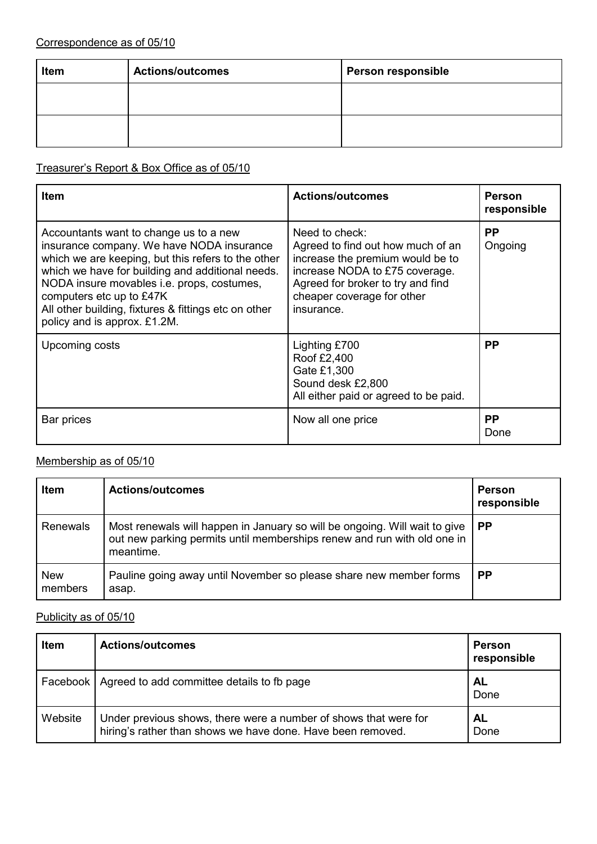### Correspondence as of 05/10

| Item | <b>Actions/outcomes</b> | <b>Person responsible</b> |
|------|-------------------------|---------------------------|
|      |                         |                           |
|      |                         |                           |
|      |                         |                           |

### Treasurer's Report & Box Office as of 05/10

| <b>Item</b>                                                                                                                                                                                                                                                                                                                                                     | <b>Actions/outcomes</b>                                                                                                                                                                                    | <b>Person</b><br>responsible |
|-----------------------------------------------------------------------------------------------------------------------------------------------------------------------------------------------------------------------------------------------------------------------------------------------------------------------------------------------------------------|------------------------------------------------------------------------------------------------------------------------------------------------------------------------------------------------------------|------------------------------|
| Accountants want to change us to a new<br>insurance company. We have NODA insurance<br>which we are keeping, but this refers to the other<br>which we have for building and additional needs.<br>NODA insure movables i.e. props, costumes,<br>computers etc up to £47K<br>All other building, fixtures & fittings etc on other<br>policy and is approx. £1.2M. | Need to check:<br>Agreed to find out how much of an<br>increase the premium would be to<br>increase NODA to £75 coverage.<br>Agreed for broker to try and find<br>cheaper coverage for other<br>insurance. | <b>PP</b><br>Ongoing         |
| Upcoming costs                                                                                                                                                                                                                                                                                                                                                  | Lighting £700<br>Roof £2,400<br>Gate £1,300<br>Sound desk £2,800<br>All either paid or agreed to be paid.                                                                                                  | <b>PP</b>                    |
| Bar prices                                                                                                                                                                                                                                                                                                                                                      | Now all one price                                                                                                                                                                                          | <b>PP</b><br>Done            |

## Membership as of 05/10

| <b>Item</b>           | <b>Actions/outcomes</b>                                                                                                                                            | <b>Person</b><br>responsible |
|-----------------------|--------------------------------------------------------------------------------------------------------------------------------------------------------------------|------------------------------|
| <b>Renewals</b>       | Most renewals will happen in January so will be ongoing. Will wait to give<br>out new parking permits until memberships renew and run with old one in<br>meantime. | <b>PP</b>                    |
| <b>New</b><br>members | Pauline going away until November so please share new member forms<br>asap.                                                                                        | <b>PP</b>                    |

### Publicity as of 05/10

| Item    | <b>Actions/outcomes</b>                                                                                                         | <b>Person</b><br>responsible |
|---------|---------------------------------------------------------------------------------------------------------------------------------|------------------------------|
|         | Facebook   Agreed to add committee details to fb page                                                                           | <b>AL</b><br>Done            |
| Website | Under previous shows, there were a number of shows that were for<br>hiring's rather than shows we have done. Have been removed. | AL<br>Done                   |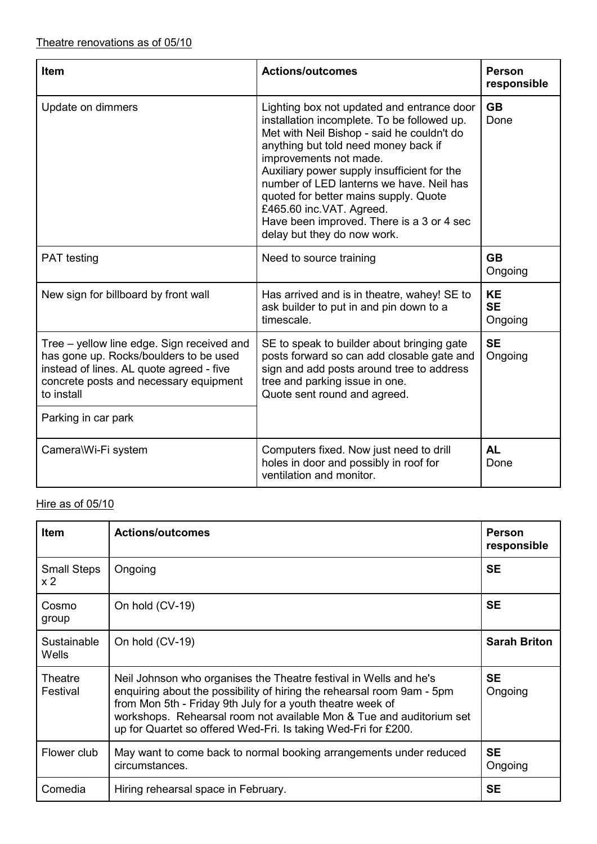| Item                                                                                                                                                                                                            | <b>Actions/outcomes</b>                                                                                                                                                                                                                                                                                                                                                                                                                               | Person<br>responsible             |
|-----------------------------------------------------------------------------------------------------------------------------------------------------------------------------------------------------------------|-------------------------------------------------------------------------------------------------------------------------------------------------------------------------------------------------------------------------------------------------------------------------------------------------------------------------------------------------------------------------------------------------------------------------------------------------------|-----------------------------------|
| Update on dimmers                                                                                                                                                                                               | Lighting box not updated and entrance door<br>installation incomplete. To be followed up.<br>Met with Neil Bishop - said he couldn't do<br>anything but told need money back if<br>improvements not made.<br>Auxiliary power supply insufficient for the<br>number of LED lanterns we have. Neil has<br>quoted for better mains supply. Quote<br>£465.60 inc.VAT. Agreed.<br>Have been improved. There is a 3 or 4 sec<br>delay but they do now work. | <b>GB</b><br>Done                 |
| <b>PAT</b> testing                                                                                                                                                                                              | Need to source training                                                                                                                                                                                                                                                                                                                                                                                                                               | <b>GB</b><br>Ongoing              |
| New sign for billboard by front wall                                                                                                                                                                            | Has arrived and is in theatre, wahey! SE to<br>ask builder to put in and pin down to a<br>timescale.                                                                                                                                                                                                                                                                                                                                                  | <b>KE</b><br><b>SE</b><br>Ongoing |
| Tree - yellow line edge. Sign received and<br>has gone up. Rocks/boulders to be used<br>instead of lines. AL quote agreed - five<br>concrete posts and necessary equipment<br>to install<br>Parking in car park | SE to speak to builder about bringing gate<br>posts forward so can add closable gate and<br>sign and add posts around tree to address<br>tree and parking issue in one.<br>Quote sent round and agreed.                                                                                                                                                                                                                                               | <b>SE</b><br>Ongoing              |
|                                                                                                                                                                                                                 |                                                                                                                                                                                                                                                                                                                                                                                                                                                       |                                   |
| Camera\Wi-Fi system                                                                                                                                                                                             | Computers fixed. Now just need to drill<br>holes in door and possibly in roof for<br>ventilation and monitor.                                                                                                                                                                                                                                                                                                                                         | <b>AL</b><br>Done                 |

### Hire as of 05/10

| <b>Item</b>               | <b>Actions/outcomes</b>                                                                                                                                                                                                                                                                                                                             | <b>Person</b><br>responsible |
|---------------------------|-----------------------------------------------------------------------------------------------------------------------------------------------------------------------------------------------------------------------------------------------------------------------------------------------------------------------------------------------------|------------------------------|
| <b>Small Steps</b><br>x 2 | Ongoing                                                                                                                                                                                                                                                                                                                                             | <b>SE</b>                    |
| Cosmo<br>group            | On hold (CV-19)                                                                                                                                                                                                                                                                                                                                     | <b>SE</b>                    |
| Sustainable<br>Wells      | On hold (CV-19)                                                                                                                                                                                                                                                                                                                                     | <b>Sarah Briton</b>          |
| Theatre<br>Festival       | Neil Johnson who organises the Theatre festival in Wells and he's<br>enquiring about the possibility of hiring the rehearsal room 9am - 5pm<br>from Mon 5th - Friday 9th July for a youth theatre week of<br>workshops. Rehearsal room not available Mon & Tue and auditorium set<br>up for Quartet so offered Wed-Fri. Is taking Wed-Fri for £200. | <b>SE</b><br>Ongoing         |
| Flower club               | May want to come back to normal booking arrangements under reduced<br>circumstances.                                                                                                                                                                                                                                                                | <b>SE</b><br>Ongoing         |
| Comedia                   | Hiring rehearsal space in February.                                                                                                                                                                                                                                                                                                                 | <b>SE</b>                    |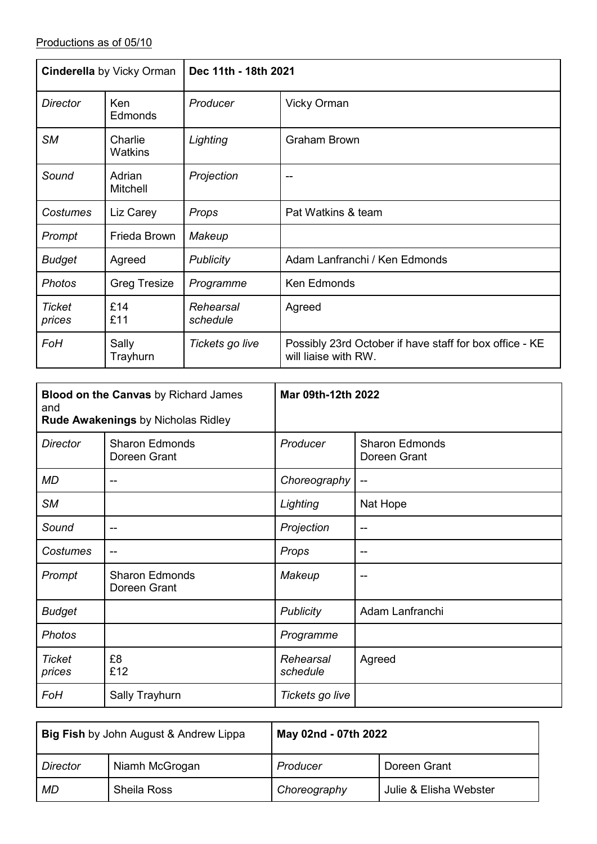| <b>Cinderella</b> by Vicky Orman |                           | Dec 11th - 18th 2021  |                                                                                 |  |
|----------------------------------|---------------------------|-----------------------|---------------------------------------------------------------------------------|--|
| <b>Director</b>                  | <b>Ken</b><br>Edmonds     | Producer              | <b>Vicky Orman</b>                                                              |  |
| <b>SM</b>                        | Charlie<br><b>Watkins</b> | Lighting              | <b>Graham Brown</b>                                                             |  |
| Sound                            | Adrian<br><b>Mitchell</b> | Projection            |                                                                                 |  |
| Costumes                         | Liz Carey                 | Props                 | Pat Watkins & team                                                              |  |
| Prompt                           | Frieda Brown              | Makeup                |                                                                                 |  |
| <b>Budget</b>                    | Agreed                    | <b>Publicity</b>      | Adam Lanfranchi / Ken Edmonds                                                   |  |
| <b>Photos</b>                    | <b>Greg Tresize</b>       | Programme             | Ken Edmonds                                                                     |  |
| <b>Ticket</b><br>prices          | £14<br>£11                | Rehearsal<br>schedule | Agreed                                                                          |  |
| FoH                              | Sally<br>Trayhurn         | Tickets go live       | Possibly 23rd October if have staff for box office - KE<br>will liaise with RW. |  |

| <b>Blood on the Canvas by Richard James</b><br>and<br>Rude Awakenings by Nicholas Ridley |                                       | Mar 09th-12th 2022    |                                       |
|------------------------------------------------------------------------------------------|---------------------------------------|-----------------------|---------------------------------------|
| <b>Director</b>                                                                          | <b>Sharon Edmonds</b><br>Doreen Grant | Producer              | <b>Sharon Edmonds</b><br>Doreen Grant |
| <b>MD</b>                                                                                | --                                    | Choreography          | --                                    |
| <b>SM</b>                                                                                |                                       | Lighting              | Nat Hope                              |
| Sound                                                                                    | --                                    | Projection            | --                                    |
| Costumes                                                                                 | --                                    | Props                 | --                                    |
| Prompt                                                                                   | <b>Sharon Edmonds</b><br>Doreen Grant | Makeup                |                                       |
| <b>Budget</b>                                                                            |                                       | <b>Publicity</b>      | Adam Lanfranchi                       |
| <b>Photos</b>                                                                            |                                       | Programme             |                                       |
| <b>Ticket</b><br>prices                                                                  | £8<br>£12                             | Rehearsal<br>schedule | Agreed                                |
| FoH                                                                                      | Sally Trayhurn                        | Tickets go live       |                                       |

| <b>Big Fish by John August &amp; Andrew Lippa</b> |                | May 02nd - 07th 2022 |                        |
|---------------------------------------------------|----------------|----------------------|------------------------|
| Director                                          | Niamh McGrogan | Producer             | Doreen Grant           |
| MD                                                | Sheila Ross    | Choreography         | Julie & Elisha Webster |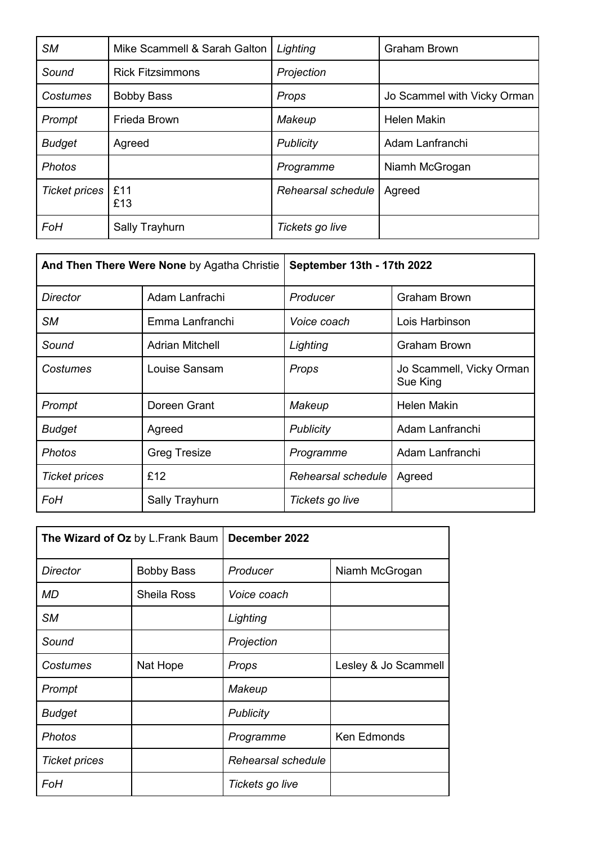| <b>SM</b>     | Mike Scammell & Sarah Galton | Lighting           | <b>Graham Brown</b>         |
|---------------|------------------------------|--------------------|-----------------------------|
| Sound         | <b>Rick Fitzsimmons</b>      | Projection         |                             |
| Costumes      | <b>Bobby Bass</b>            | Props              | Jo Scammel with Vicky Orman |
| Prompt        | Frieda Brown                 | Makeup             | <b>Helen Makin</b>          |
| <b>Budget</b> | Agreed                       | <b>Publicity</b>   | Adam Lanfranchi             |
| <b>Photos</b> |                              | Programme          | Niamh McGrogan              |
| Ticket prices | £11<br>£13                   | Rehearsal schedule | Agreed                      |
| FoH           | Sally Trayhurn               | Tickets go live    |                             |

| And Then There Were None by Agatha Christie |                        | September 13th - 17th 2022 |                                      |
|---------------------------------------------|------------------------|----------------------------|--------------------------------------|
| <b>Director</b>                             | Adam Lanfrachi         | Producer                   | <b>Graham Brown</b>                  |
| <b>SM</b>                                   | Emma Lanfranchi        | Voice coach                | Lois Harbinson                       |
| Sound                                       | <b>Adrian Mitchell</b> | Lighting                   | <b>Graham Brown</b>                  |
| Costumes                                    | Louise Sansam          | Props                      | Jo Scammell, Vicky Orman<br>Sue King |
| Prompt                                      | Doreen Grant           | Makeup                     | <b>Helen Makin</b>                   |
| <b>Budget</b>                               | Agreed                 | <b>Publicity</b>           | Adam Lanfranchi                      |
| <b>Photos</b>                               | <b>Greg Tresize</b>    | Programme                  | Adam Lanfranchi                      |
| <b>Ticket prices</b>                        | £12                    | Rehearsal schedule         | Agreed                               |
| FoH                                         | Sally Trayhurn         | Tickets go live            |                                      |

| The Wizard of Oz by L.Frank Baum |                   | December 2022      |                      |
|----------------------------------|-------------------|--------------------|----------------------|
| <b>Director</b>                  | <b>Bobby Bass</b> | Producer           | Niamh McGrogan       |
| MD                               | Sheila Ross       | Voice coach        |                      |
| <b>SM</b>                        |                   | Lighting           |                      |
| Sound                            |                   | Projection         |                      |
| Costumes                         | Nat Hope          | Props              | Lesley & Jo Scammell |
| Prompt                           |                   | Makeup             |                      |
| <b>Budget</b>                    |                   | <b>Publicity</b>   |                      |
| Photos                           |                   | Programme          | Ken Edmonds          |
| <b>Ticket prices</b>             |                   | Rehearsal schedule |                      |
| FoH                              |                   | Tickets go live    |                      |